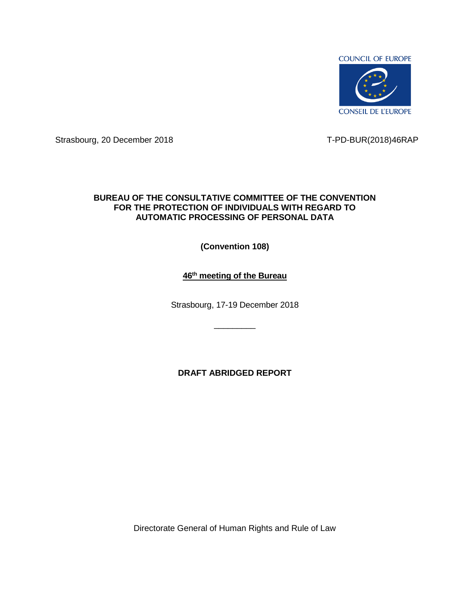

Strasbourg, 20 December 2018 T-PD-BUR(2018)46RAP

## **BUREAU OF THE CONSULTATIVE COMMITTEE OF THE CONVENTION FOR THE PROTECTION OF INDIVIDUALS WITH REGARD TO AUTOMATIC PROCESSING OF PERSONAL DATA**

**(Convention 108)**

# **46 th meeting of the Bureau**

Strasbourg, 17-19 December 2018

 $\overline{\phantom{a}}$  , where  $\overline{\phantom{a}}$ 

**DRAFT ABRIDGED REPORT**

Directorate General of Human Rights and Rule of Law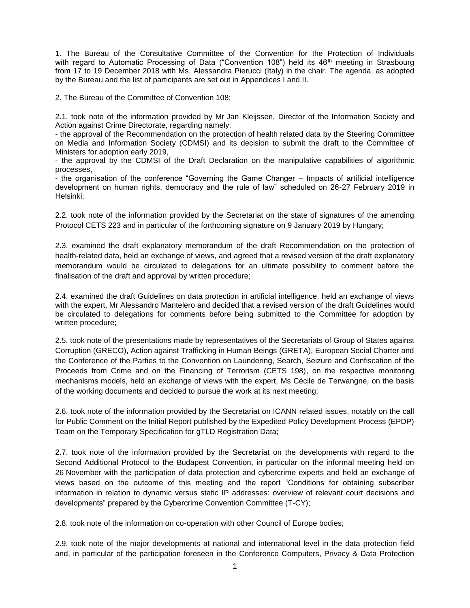1. The Bureau of the Consultative Committee of the Convention for the Protection of Individuals with regard to Automatic Processing of Data ("Convention 108") held its 46<sup>th</sup> meeting in Strasbourg from 17 to 19 December 2018 with Ms. Alessandra Pierucci (Italy) in the chair. The agenda, as adopted by the Bureau and the list of participants are set out in Appendices I and II.

2. The Bureau of the Committee of Convention 108:

2.1. took note of the information provided by Mr Jan Kleijssen, Director of the Information Society and Action against Crime Directorate, regarding namely:

- the approval of the Recommendation on the protection of health related data by the Steering Committee on Media and Information Society (CDMSI) and its decision to submit the draft to the Committee of Ministers for adoption early 2019,

- the approval by the CDMSI of the Draft Declaration on the manipulative capabilities of algorithmic processes,

- the organisation of the conference "Governing the Game Changer – Impacts of artificial intelligence development on human rights, democracy and the rule of law" scheduled on 26-27 February 2019 in Helsinki;

2.2. took note of the information provided by the Secretariat on the state of signatures of the amending Protocol CETS 223 and in particular of the forthcoming signature on 9 January 2019 by Hungary;

2.3. examined the draft explanatory memorandum of the draft Recommendation on the protection of health-related data, held an exchange of views, and agreed that a revised version of the draft explanatory memorandum would be circulated to delegations for an ultimate possibility to comment before the finalisation of the draft and approval by written procedure;

2.4. examined the draft Guidelines on data protection in artificial intelligence, held an exchange of views with the expert, Mr Alessandro Mantelero and decided that a revised version of the draft Guidelines would be circulated to delegations for comments before being submitted to the Committee for adoption by written procedure;

2.5. took note of the presentations made by representatives of the Secretariats of Group of States against Corruption (GRECO), Action against Trafficking in Human Beings (GRETA), European Social Charter and the Conference of the Parties to the [Convention on Laundering, Search, Seizure and Confiscation of the](http://www.coe.int/en/web/conventions/full-list/-/conventions/treaty/198)  [Proceeds from Crime and on the Financing of Terrorism \(CETS 198\),](http://www.coe.int/en/web/conventions/full-list/-/conventions/treaty/198) on the respective monitoring mechanisms models, held an exchange of views with the expert, Ms Cécile de Terwangne, on the basis of the working documents and decided to pursue the work at its next meeting;

2.6. took note of the information provided by the Secretariat on ICANN related issues, notably on the call for Public Comment on the Initial Report published by the Expedited Policy Development Process (EPDP) Team on the Temporary Specification for gTLD Registration Data;

2.7. took note of the information provided by the Secretariat on the developments with regard to the Second Additional Protocol to the Budapest Convention, in particular on the informal meeting held on 26 November with the participation of data protection and cybercrime experts and held an exchange of views based on the outcome of this meeting and the report "Conditions for obtaining subscriber information in relation to dynamic versus static IP addresses: overview of relevant court decisions and developments" prepared by the Cybercrime Convention Committee (T-CY);

2.8. took note of the information on co-operation with other Council of Europe bodies;

2.9. took note of the major developments at national and international level in the data protection field and, in particular of the participation foreseen in the Conference Computers, Privacy & Data Protection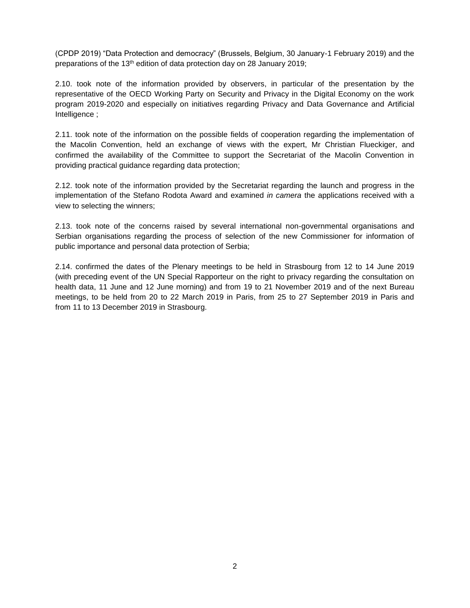(CPDP 2019) "Data Protection and democracy" (Brussels, Belgium, 30 January-1 February 2019) and the preparations of the 13<sup>th</sup> edition of data protection day on 28 January 2019;

2.10. took note of the information provided by observers, in particular of the presentation by the representative of the OECD Working Party on Security and Privacy in the Digital Economy on the work program 2019-2020 and especially on initiatives regarding Privacy and Data Governance and Artificial Intelligence ;

2.11. took note of the information on the possible fields of cooperation regarding the implementation of the Macolin Convention, held an exchange of views with the expert, Mr Christian Flueckiger, and confirmed the availability of the Committee to support the Secretariat of the Macolin Convention in providing practical guidance regarding data protection;

2.12. took note of the information provided by the Secretariat regarding the launch and progress in the implementation of the Stefano Rodota Award and examined *in camera* the applications received with a view to selecting the winners;

2.13. took note of the concerns raised by several international non-governmental organisations and Serbian organisations regarding the process of selection of the new Commissioner for information of public importance and personal data protection of Serbia;

2.14. confirmed the dates of the Plenary meetings to be held in Strasbourg from 12 to 14 June 2019 (with preceding event of the UN Special Rapporteur on the right to privacy regarding the consultation on health data, 11 June and 12 June morning) and from 19 to 21 November 2019 and of the next Bureau meetings, to be held from 20 to 22 March 2019 in Paris, from 25 to 27 September 2019 in Paris and from 11 to 13 December 2019 in Strasbourg.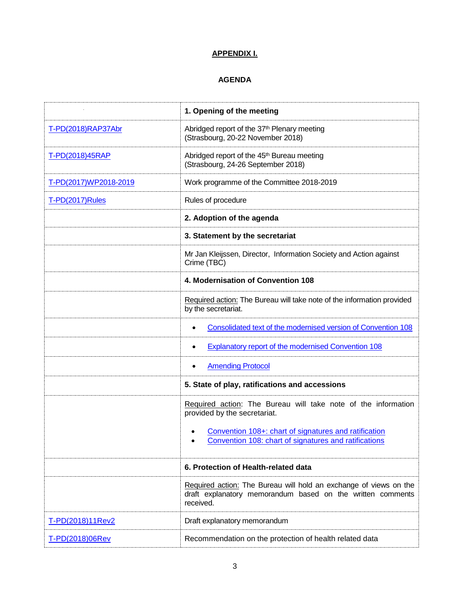# **APPENDIX I.**

# **AGENDA**

|                       | 1. Opening of the meeting                                                                                                                    |
|-----------------------|----------------------------------------------------------------------------------------------------------------------------------------------|
| T-PD(2018)RAP37Abr    | Abridged report of the 37 <sup>th</sup> Plenary meeting<br>(Strasbourg, 20-22 November 2018)                                                 |
| T-PD(2018)45RAP       | Abridged report of the 45 <sup>th</sup> Bureau meeting<br>(Strasbourg, 24-26 September 2018)                                                 |
| T-PD(2017)WP2018-2019 | Work programme of the Committee 2018-2019                                                                                                    |
| T-PD(2017)Rules       | Rules of procedure                                                                                                                           |
|                       | 2. Adoption of the agenda                                                                                                                    |
|                       | 3. Statement by the secretariat                                                                                                              |
|                       | Mr Jan Kleijssen, Director, Information Society and Action against<br>Crime (TBC)                                                            |
|                       | 4. Modernisation of Convention 108                                                                                                           |
|                       | Required action: The Bureau will take note of the information provided<br>by the secretariat.                                                |
|                       | Consolidated text of the modernised version of Convention 108<br>٠                                                                           |
|                       | <b>Explanatory report of the modernised Convention 108</b><br>٠                                                                              |
|                       | <b>Amending Protocol</b><br>٠                                                                                                                |
|                       | 5. State of play, ratifications and accessions                                                                                               |
|                       | Required action: The Bureau will take note of the information<br>provided by the secretariat.                                                |
|                       | Convention 108+: chart of signatures and ratification<br>Convention 108: chart of signatures and ratifications                               |
|                       | 6. Protection of Health-related data                                                                                                         |
|                       | Required action: The Bureau will hold an exchange of views on the<br>draft explanatory memorandum based on the written comments<br>received. |
| T-PD(2018)11Rev2      | Draft explanatory memorandum                                                                                                                 |
| T-PD(2018)06Rev       | Recommendation on the protection of health related data                                                                                      |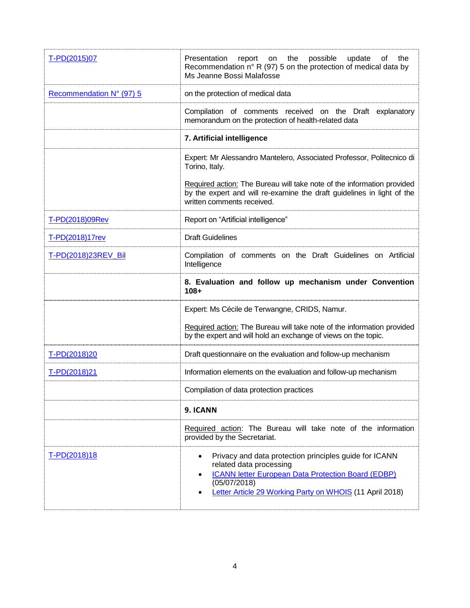| T-PD(2015)07             | Presentation<br>report on the<br>possible<br>update<br>of<br>the<br>Recommendation $n^{\circ}$ R (97) 5 on the protection of medical data by<br>Ms Jeanne Bossi Malafosse                                                                    |
|--------------------------|----------------------------------------------------------------------------------------------------------------------------------------------------------------------------------------------------------------------------------------------|
| Recommendation N° (97) 5 | on the protection of medical data                                                                                                                                                                                                            |
|                          | Compilation of comments received on the Draft explanatory<br>memorandum on the protection of health-related data                                                                                                                             |
|                          | 7. Artificial intelligence                                                                                                                                                                                                                   |
|                          | Expert: Mr Alessandro Mantelero, Associated Professor, Politecnico di<br>Torino, Italy.                                                                                                                                                      |
|                          | Required action: The Bureau will take note of the information provided<br>by the expert and will re-examine the draft guidelines in light of the<br>written comments received.                                                               |
| T-PD(2018)09Rev          | Report on "Artificial intelligence"                                                                                                                                                                                                          |
| T-PD(2018)17rev          | <b>Draft Guidelines</b>                                                                                                                                                                                                                      |
| T-PD(2018)23REV_Bil      | Compilation of comments on the Draft Guidelines on Artificial<br>Intelligence                                                                                                                                                                |
|                          | 8. Evaluation and follow up mechanism under Convention<br>$108 +$                                                                                                                                                                            |
|                          | Expert: Ms Cécile de Terwangne, CRIDS, Namur.                                                                                                                                                                                                |
|                          | Required action: The Bureau will take note of the information provided<br>by the expert and will hold an exchange of views on the topic.                                                                                                     |
| T-PD(2018)20             | Draft questionnaire on the evaluation and follow-up mechanism                                                                                                                                                                                |
| T-PD(2018)21             | Information elements on the evaluation and follow-up mechanism                                                                                                                                                                               |
|                          | Compilation of data protection practices                                                                                                                                                                                                     |
|                          | 9. ICANN                                                                                                                                                                                                                                     |
|                          | Required action: The Bureau will take note of the information<br>provided by the Secretariat.                                                                                                                                                |
| T-PD(2018)18             | Privacy and data protection principles guide for ICANN<br>٠<br>related data processing<br><b>ICANN letter European Data Protection Board (EDBP)</b><br>$\bullet$<br>(05/07/2018)<br>Letter Article 29 Working Party on WHOIS (11 April 2018) |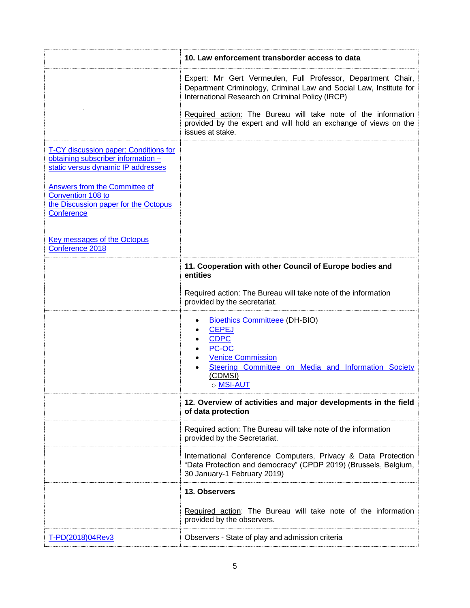|                                                                                                                                                                                                                                                                                               | 10. Law enforcement transborder access to data                                                                                                                                                                                                                                                                                                  |
|-----------------------------------------------------------------------------------------------------------------------------------------------------------------------------------------------------------------------------------------------------------------------------------------------|-------------------------------------------------------------------------------------------------------------------------------------------------------------------------------------------------------------------------------------------------------------------------------------------------------------------------------------------------|
|                                                                                                                                                                                                                                                                                               | Expert: Mr Gert Vermeulen, Full Professor, Department Chair,<br>Department Criminology, Criminal Law and Social Law, Institute for<br>International Research on Criminal Policy (IRCP)<br>Required action: The Bureau will take note of the information<br>provided by the expert and will hold an exchange of views on the<br>issues at stake. |
| T-CY discussion paper: Conditions for<br>obtaining subscriber information -<br>static versus dynamic IP addresses<br><b>Answers from the Committee of</b><br>Convention 108 to<br>the Discussion paper for the Octopus<br>Conference<br><b>Key messages of the Octopus</b><br>Conference 2018 |                                                                                                                                                                                                                                                                                                                                                 |
|                                                                                                                                                                                                                                                                                               | 11. Cooperation with other Council of Europe bodies and<br>entities                                                                                                                                                                                                                                                                             |
|                                                                                                                                                                                                                                                                                               | Required action: The Bureau will take note of the information<br>provided by the secretariat.                                                                                                                                                                                                                                                   |
|                                                                                                                                                                                                                                                                                               | <b>Bioethics Committeee (DH-BIO)</b><br><b>CEPEJ</b><br><b>CDPC</b><br>PC-OC<br><b>Venice Commission</b><br>Steering Committee on Media and Information Society<br>(CDMSI)<br>o MSI-AUT                                                                                                                                                         |
|                                                                                                                                                                                                                                                                                               | 12. Overview of activities and major developments in the field<br>of data protection                                                                                                                                                                                                                                                            |
|                                                                                                                                                                                                                                                                                               | Required action: The Bureau will take note of the information<br>provided by the Secretariat.                                                                                                                                                                                                                                                   |
|                                                                                                                                                                                                                                                                                               | International Conference Computers, Privacy & Data Protection<br>"Data Protection and democracy" (CPDP 2019) (Brussels, Belgium,<br>30 January-1 February 2019)                                                                                                                                                                                 |
|                                                                                                                                                                                                                                                                                               | 13. Observers                                                                                                                                                                                                                                                                                                                                   |
|                                                                                                                                                                                                                                                                                               | Required action: The Bureau will take note of the information<br>provided by the observers.                                                                                                                                                                                                                                                     |
| T-PD(2018)04Rev3                                                                                                                                                                                                                                                                              | Observers - State of play and admission criteria                                                                                                                                                                                                                                                                                                |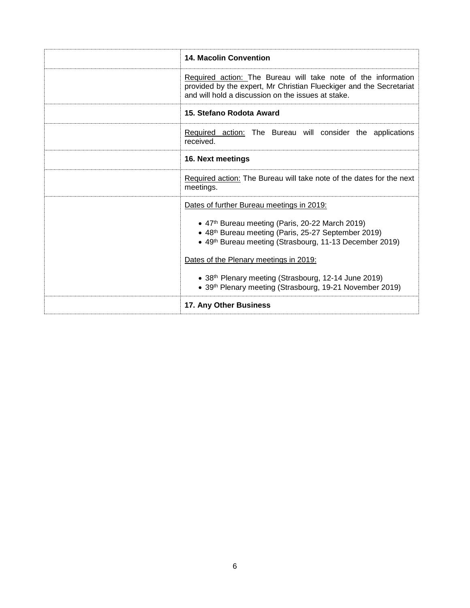| <b>14. Macolin Convention</b>                                                                                                                                                                               |
|-------------------------------------------------------------------------------------------------------------------------------------------------------------------------------------------------------------|
| Required action: The Bureau will take note of the information<br>provided by the expert, Mr Christian Flueckiger and the Secretariat<br>and will hold a discussion on the issues at stake.                  |
| 15. Stefano Rodota Award                                                                                                                                                                                    |
| Required action: The Bureau will consider the applications<br>received.                                                                                                                                     |
| 16. Next meetings                                                                                                                                                                                           |
| Required action: The Bureau will take note of the dates for the next<br>meetings.                                                                                                                           |
| Dates of further Bureau meetings in 2019:                                                                                                                                                                   |
| • 47th Bureau meeting (Paris, 20-22 March 2019)<br>• 48th Bureau meeting (Paris, 25-27 September 2019)<br>• 49th Bureau meeting (Strasbourg, 11-13 December 2019)<br>Dates of the Plenary meetings in 2019: |
| • 38th Plenary meeting (Strasbourg, 12-14 June 2019)                                                                                                                                                        |
| • 39th Plenary meeting (Strasbourg, 19-21 November 2019)                                                                                                                                                    |
| 17. Any Other Business                                                                                                                                                                                      |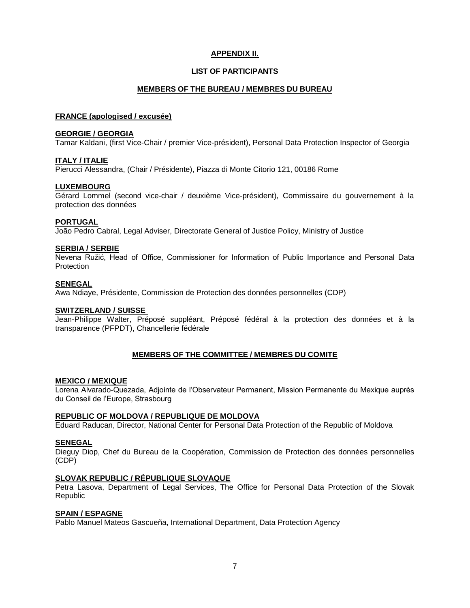# **APPENDIX II.**

## **LIST OF PARTICIPANTS**

## **MEMBERS OF THE BUREAU / MEMBRES DU BUREAU**

## **FRANCE (apologised / excusée)**

## **GEORGIE / GEORGIA**

Tamar Kaldani, (first Vice-Chair / premier Vice-président), Personal Data Protection Inspector of Georgia

## **ITALY / ITALIE**

Pierucci Alessandra, (Chair / Présidente), Piazza di Monte Citorio 121, 00186 Rome

## **LUXEMBOURG**

Gérard Lommel (second vice-chair / deuxième Vice-président), Commissaire du gouvernement à la protection des données

## **PORTUGAL**

João Pedro Cabral, Legal Adviser, Directorate General of Justice Policy, Ministry of Justice

## **SERBIA / SERBIE**

Nevena Ružić, Head of Office, Commissioner for Information of Public Importance and Personal Data **Protection** 

#### **SENEGAL**

Awa Ndiaye, Présidente, Commission de Protection des données personnelles (CDP)

## **SWITZERLAND / SUISSE**

Jean-Philippe Walter, Préposé suppléant, Préposé fédéral à la protection des données et à la transparence (PFPDT), Chancellerie fédérale

## **MEMBERS OF THE COMMITTEE / MEMBRES DU COMITE**

## **MEXICO / MEXIQUE**

Lorena Alvarado-Quezada, Adjointe de l'Observateur Permanent, Mission Permanente du Mexique auprès du Conseil de l'Europe, Strasbourg

## **REPUBLIC OF MOLDOVA / REPUBLIQUE DE MOLDOVA**

Eduard Raducan, Director, National Center for Personal Data Protection of the Republic of Moldova

## **SENEGAL**

Dieguy Diop, Chef du Bureau de la Coopération, Commission de Protection des données personnelles (CDP)

## **SLOVAK REPUBLIC / RÉPUBLIQUE SLOVAQUE**

Petra Lasova, Department of Legal Services, The Office for Personal Data Protection of the Slovak Republic

## **SPAIN / ESPAGNE**

Pablo Manuel Mateos Gascueña, International Department, Data Protection Agency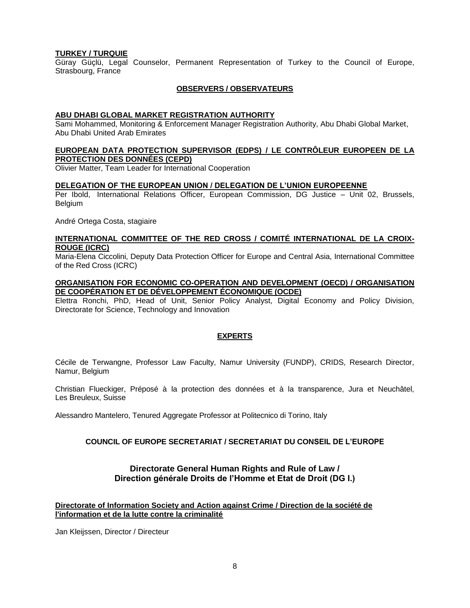## **TURKEY / TURQUIE**

Güray Güçlü, Legal Counselor, Permanent Representation of Turkey to the Council of Europe, Strasbourg, France

## **OBSERVERS / OBSERVATEURS**

#### **ABU DHABI GLOBAL MARKET REGISTRATION AUTHORITY**

Sami Mohammed, Monitoring & Enforcement Manager Registration Authority, Abu Dhabi Global Market, Abu Dhabi United Arab Emirates

#### **EUROPEAN DATA PROTECTION SUPERVISOR (EDPS) / LE CONTRÔLEUR EUROPEEN DE LA PROTECTION DES DONNÉES (CEPD)**

Olivier Matter, Team Leader for International Cooperation

#### **DELEGATION OF THE EUROPEAN UNION / DELEGATION DE L'UNION EUROPEENNE**

Per Ibold, International Relations Officer, European Commission, DG Justice – Unit 02, Brussels, Belgium

André Ortega Costa, stagiaire

## **INTERNATIONAL COMMITTEE OF THE RED CROSS / COMITÉ INTERNATIONAL DE LA CROIX-ROUGE (ICRC)**

Maria-Elena Ciccolini, Deputy Data Protection Officer for Europe and Central Asia, International Committee of the Red Cross (ICRC)

#### **ORGANISATION FOR ECONOMIC CO-OPERATION AND DEVELOPMENT (OECD) / ORGANISATION DE COOPÉRATION ET DE DÉVELOPPEMENT ÉCONOMIQUE (OCDE)**

Elettra Ronchi, PhD, Head of Unit, Senior Policy Analyst, Digital Economy and Policy Division, Directorate for Science, Technology and Innovation

## **EXPERTS**

Cécile de Terwangne, Professor Law Faculty, Namur University (FUNDP), CRIDS, Research Director, Namur, Belgium

Christian Flueckiger, Préposé à la protection des données et à la transparence, Jura et Neuchâtel, Les Breuleux, Suisse

Alessandro Mantelero, Tenured Aggregate Professor at Politecnico di Torino, Italy

## **COUNCIL OF EUROPE SECRETARIAT / SECRETARIAT DU CONSEIL DE L'EUROPE**

## **Directorate General Human Rights and Rule of Law / Direction générale Droits de l'Homme et Etat de Droit (DG I.)**

## **Directorate of Information Society and Action against Crime / Direction de la société de l'information et de la lutte contre la criminalité**

Jan Kleijssen, Director / Directeur